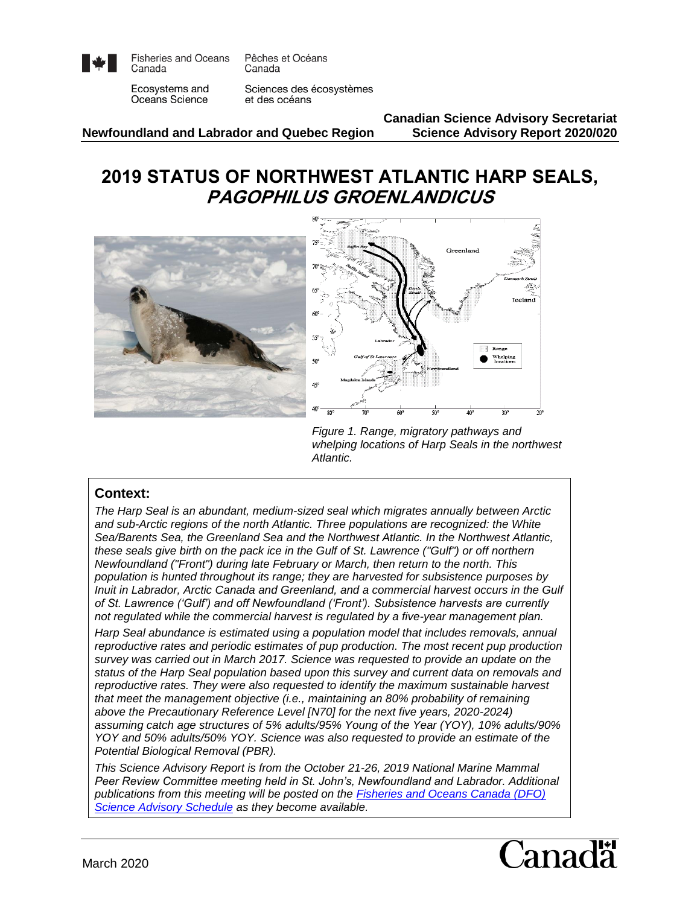

**Fisheries and Oceans** Canada

Pêches et Océans Canada

Ecosystems and Oceans Science

Sciences des écosystèmes et des océans

**Newfoundland and Labrador and Quebec Region Science Advisory Report 2020/020**

**Canadian Science Advisory Secretariat**

# **2019 STATUS OF NORTHWEST ATLANTIC HARP SEALS, PAGOPHILUS GROENLANDICUS**



*Figure 1. Range, migratory pathways and whelping locations of Harp Seals in the northwest Atlantic.*

#### **Context:**

*The Harp Seal is an abundant, medium-sized seal which migrates annually between Arctic and sub-Arctic regions of the north Atlantic. Three populations are recognized: the White Sea/Barents Sea, the Greenland Sea and the Northwest Atlantic. In the Northwest Atlantic, these seals give birth on the pack ice in the Gulf of St. Lawrence ("Gulf") or off northern Newfoundland ("Front") during late February or March, then return to the north. This population is hunted throughout its range; they are harvested for subsistence purposes by Inuit in Labrador, Arctic Canada and Greenland, and a commercial harvest occurs in the Gulf of St. Lawrence ('Gulf') and off Newfoundland ('Front'). Subsistence harvests are currently not regulated while the commercial harvest is regulated by a five-year management plan.*

*Harp Seal abundance is estimated using a population model that includes removals, annual reproductive rates and periodic estimates of pup production. The most recent pup production survey was carried out in March 2017. Science was requested to provide an update on the status of the Harp Seal population based upon this survey and current data on removals and reproductive rates. They were also requested to identify the maximum sustainable harvest that meet the management objective (i.e., maintaining an 80% probability of remaining above the Precautionary Reference Level [N70] for the next five years, 2020-2024) assuming catch age structures of 5% adults/95% Young of the Year (YOY), 10% adults/90% YOY and 50% adults/50% YOY. Science was also requested to provide an estimate of the Potential Biological Removal (PBR).*

*This Science Advisory Report is from the October 21-26, 2019 National Marine Mammal Peer Review Committee meeting held in St. John's, Newfoundland and Labrador. Additional publications from this meeting will be posted on the [Fisheries and Oceans Canada \(DFO\)](http://www.isdm-gdsi.gc.ca/csas-sccs/applications/events-evenements/index-eng.asp)  [Science Advisory Schedule](http://www.isdm-gdsi.gc.ca/csas-sccs/applications/events-evenements/index-eng.asp) as they become available.*

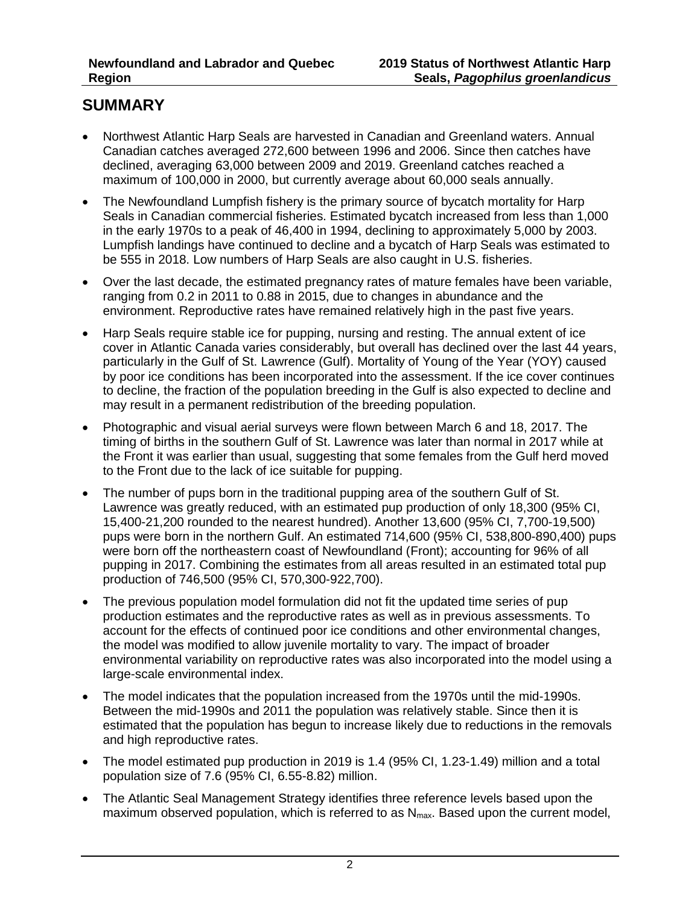## **SUMMARY**

- Northwest Atlantic Harp Seals are harvested in Canadian and Greenland waters. Annual Canadian catches averaged 272,600 between 1996 and 2006. Since then catches have declined, averaging 63,000 between 2009 and 2019. Greenland catches reached a maximum of 100,000 in 2000, but currently average about 60,000 seals annually.
- The Newfoundland Lumpfish fishery is the primary source of bycatch mortality for Harp Seals in Canadian commercial fisheries. Estimated bycatch increased from less than 1,000 in the early 1970s to a peak of 46,400 in 1994, declining to approximately 5,000 by 2003. Lumpfish landings have continued to decline and a bycatch of Harp Seals was estimated to be 555 in 2018. Low numbers of Harp Seals are also caught in U.S. fisheries.
- Over the last decade, the estimated pregnancy rates of mature females have been variable, ranging from 0.2 in 2011 to 0.88 in 2015, due to changes in abundance and the environment. Reproductive rates have remained relatively high in the past five years.
- Harp Seals require stable ice for pupping, nursing and resting. The annual extent of ice cover in Atlantic Canada varies considerably, but overall has declined over the last 44 years, particularly in the Gulf of St. Lawrence (Gulf). Mortality of Young of the Year (YOY) caused by poor ice conditions has been incorporated into the assessment. If the ice cover continues to decline, the fraction of the population breeding in the Gulf is also expected to decline and may result in a permanent redistribution of the breeding population.
- Photographic and visual aerial surveys were flown between March 6 and 18, 2017. The timing of births in the southern Gulf of St. Lawrence was later than normal in 2017 while at the Front it was earlier than usual, suggesting that some females from the Gulf herd moved to the Front due to the lack of ice suitable for pupping.
- The number of pups born in the traditional pupping area of the southern Gulf of St. Lawrence was greatly reduced, with an estimated pup production of only 18,300 (95% CI, 15,400-21,200 rounded to the nearest hundred). Another 13,600 (95% CI, 7,700-19,500) pups were born in the northern Gulf. An estimated 714,600 (95% CI, 538,800-890,400) pups were born off the northeastern coast of Newfoundland (Front); accounting for 96% of all pupping in 2017. Combining the estimates from all areas resulted in an estimated total pup production of 746,500 (95% CI, 570,300-922,700).
- The previous population model formulation did not fit the updated time series of pup production estimates and the reproductive rates as well as in previous assessments. To account for the effects of continued poor ice conditions and other environmental changes, the model was modified to allow juvenile mortality to vary. The impact of broader environmental variability on reproductive rates was also incorporated into the model using a large-scale environmental index.
- The model indicates that the population increased from the 1970s until the mid-1990s. Between the mid-1990s and 2011 the population was relatively stable. Since then it is estimated that the population has begun to increase likely due to reductions in the removals and high reproductive rates.
- The model estimated pup production in 2019 is 1.4 (95% CI, 1.23-1.49) million and a total population size of 7.6 (95% CI, 6.55-8.82) million.
- The Atlantic Seal Management Strategy identifies three reference levels based upon the maximum observed population, which is referred to as  $N_{\text{max}}$ . Based upon the current model,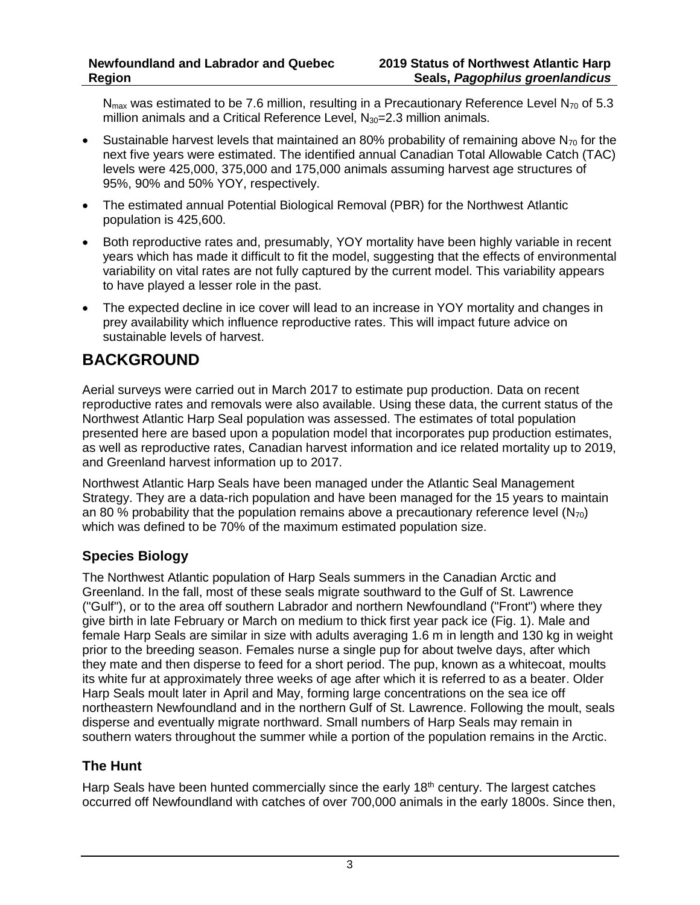$N_{\text{max}}$  was estimated to be 7.6 million, resulting in a Precautionary Reference Level N<sub>70</sub> of 5.3 million animals and a Critical Reference Level,  $N_{30}=2.3$  million animals.

- Sustainable harvest levels that maintained an 80% probability of remaining above  $N_{70}$  for the next five years were estimated. The identified annual Canadian Total Allowable Catch (TAC) levels were 425,000, 375,000 and 175,000 animals assuming harvest age structures of 95%, 90% and 50% YOY, respectively.
- The estimated annual Potential Biological Removal (PBR) for the Northwest Atlantic population is 425,600.
- Both reproductive rates and, presumably, YOY mortality have been highly variable in recent years which has made it difficult to fit the model, suggesting that the effects of environmental variability on vital rates are not fully captured by the current model. This variability appears to have played a lesser role in the past.
- The expected decline in ice cover will lead to an increase in YOY mortality and changes in prey availability which influence reproductive rates. This will impact future advice on sustainable levels of harvest.

# **BACKGROUND**

Aerial surveys were carried out in March 2017 to estimate pup production. Data on recent reproductive rates and removals were also available. Using these data, the current status of the Northwest Atlantic Harp Seal population was assessed. The estimates of total population presented here are based upon a population model that incorporates pup production estimates, as well as reproductive rates, Canadian harvest information and ice related mortality up to 2019, and Greenland harvest information up to 2017.

Northwest Atlantic Harp Seals have been managed under the Atlantic Seal Management Strategy. They are a data-rich population and have been managed for the 15 years to maintain an 80 % probability that the population remains above a precautionary reference level ( $N_{70}$ ) which was defined to be 70% of the maximum estimated population size.

### **Species Biology**

The Northwest Atlantic population of Harp Seals summers in the Canadian Arctic and Greenland. In the fall, most of these seals migrate southward to the Gulf of St. Lawrence ("Gulf"), or to the area off southern Labrador and northern Newfoundland ("Front") where they give birth in late February or March on medium to thick first year pack ice (Fig. 1). Male and female Harp Seals are similar in size with adults averaging 1.6 m in length and 130 kg in weight prior to the breeding season. Females nurse a single pup for about twelve days, after which they mate and then disperse to feed for a short period. The pup, known as a whitecoat, moults its white fur at approximately three weeks of age after which it is referred to as a beater. Older Harp Seals moult later in April and May, forming large concentrations on the sea ice off northeastern Newfoundland and in the northern Gulf of St. Lawrence. Following the moult, seals disperse and eventually migrate northward. Small numbers of Harp Seals may remain in southern waters throughout the summer while a portion of the population remains in the Arctic.

### **The Hunt**

Harp Seals have been hunted commercially since the early 18<sup>th</sup> century. The largest catches occurred off Newfoundland with catches of over 700,000 animals in the early 1800s. Since then,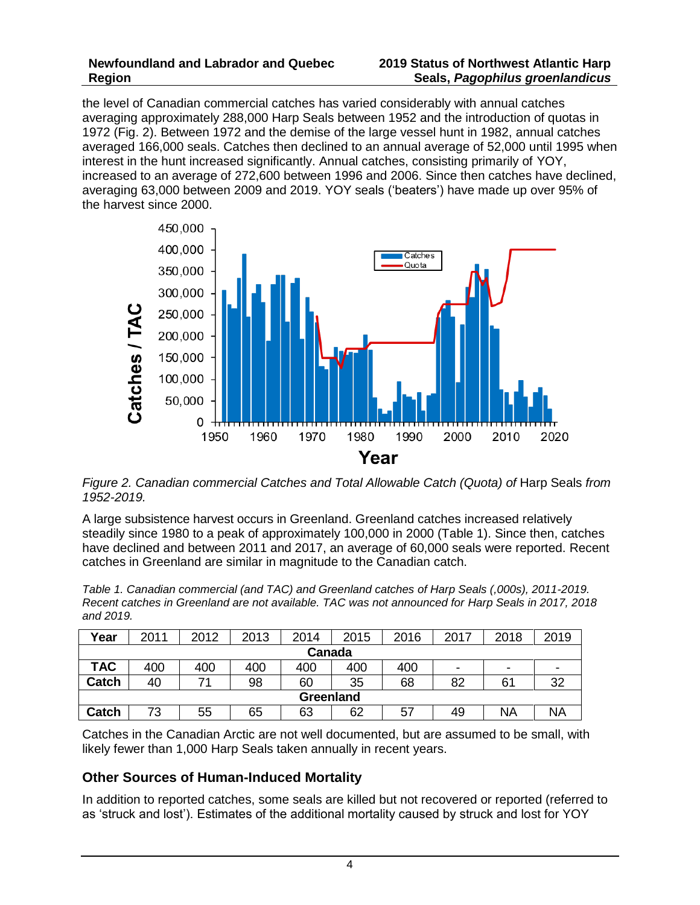the level of Canadian commercial catches has varied considerably with annual catches averaging approximately 288,000 Harp Seals between 1952 and the introduction of quotas in 1972 (Fig. 2). Between 1972 and the demise of the large vessel hunt in 1982, annual catches averaged 166,000 seals. Catches then declined to an annual average of 52,000 until 1995 when interest in the hunt increased significantly. Annual catches, consisting primarily of YOY, increased to an average of 272,600 between 1996 and 2006. Since then catches have declined, averaging 63,000 between 2009 and 2019. YOY seals ('beaters') have made up over 95% of the harvest since 2000.



*Figure 2. Canadian commercial Catches and Total Allowable Catch (Quota) of* Harp Seals *from 1952-2019.*

A large subsistence harvest occurs in Greenland. Greenland catches increased relatively steadily since 1980 to a peak of approximately 100,000 in 2000 (Table 1). Since then, catches have declined and between 2011 and 2017, an average of 60,000 seals were reported. Recent catches in Greenland are similar in magnitude to the Canadian catch.

*Table 1. Canadian commercial (and TAC) and Greenland catches of Harp Seals (,000s), 2011-2019. Recent catches in Greenland are not available. TAC was not announced for Harp Seals in 2017, 2018 and 2019.*

| Year         | 2011 | 2012 | 2013 | 2014 | 2015 | 2016 | 2017 | 2018 | 2019                     |
|--------------|------|------|------|------|------|------|------|------|--------------------------|
| Canada       |      |      |      |      |      |      |      |      |                          |
| <b>TAC</b>   | 400  | 400  | 400  | 400  | 400  | 400  | ۰    | -    | $\overline{\phantom{0}}$ |
| <b>Catch</b> | 40   | 71   | 98   | 60   | 35   | 68   | 82   | 61   | 32                       |
| Greenland    |      |      |      |      |      |      |      |      |                          |
| <b>Catch</b> | 73   | 55   | 65   | 63   | 62   | 57   | 49   | NA   | <b>NA</b>                |

Catches in the Canadian Arctic are not well documented, but are assumed to be small, with likely fewer than 1,000 Harp Seals taken annually in recent years.

### **Other Sources of Human-Induced Mortality**

In addition to reported catches, some seals are killed but not recovered or reported (referred to as 'struck and lost'). Estimates of the additional mortality caused by struck and lost for YOY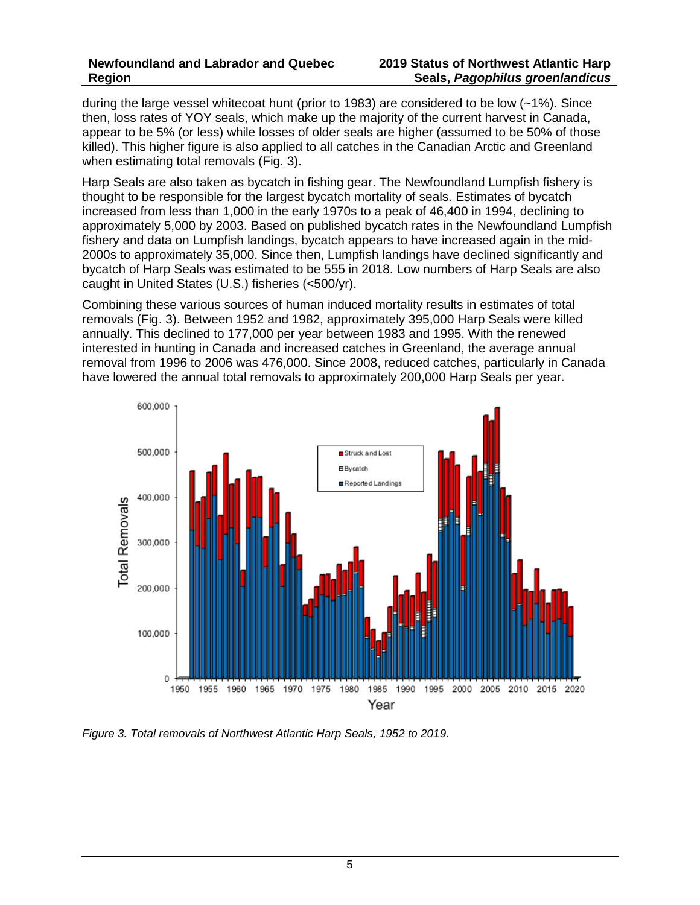during the large vessel whitecoat hunt (prior to 1983) are considered to be low (~1%). Since then, loss rates of YOY seals, which make up the majority of the current harvest in Canada, appear to be 5% (or less) while losses of older seals are higher (assumed to be 50% of those killed). This higher figure is also applied to all catches in the Canadian Arctic and Greenland when estimating total removals (Fig. 3).

Harp Seals are also taken as bycatch in fishing gear. The Newfoundland Lumpfish fishery is thought to be responsible for the largest bycatch mortality of seals. Estimates of bycatch increased from less than 1,000 in the early 1970s to a peak of 46,400 in 1994, declining to approximately 5,000 by 2003. Based on published bycatch rates in the Newfoundland Lumpfish fishery and data on Lumpfish landings, bycatch appears to have increased again in the mid-2000s to approximately 35,000. Since then, Lumpfish landings have declined significantly and bycatch of Harp Seals was estimated to be 555 in 2018. Low numbers of Harp Seals are also caught in United States (U.S.) fisheries (<500/yr).

Combining these various sources of human induced mortality results in estimates of total removals (Fig. 3). Between 1952 and 1982, approximately 395,000 Harp Seals were killed annually. This declined to 177,000 per year between 1983 and 1995. With the renewed interested in hunting in Canada and increased catches in Greenland, the average annual removal from 1996 to 2006 was 476,000. Since 2008, reduced catches, particularly in Canada have lowered the annual total removals to approximately 200,000 Harp Seals per year.



*Figure 3. Total removals of Northwest Atlantic Harp Seals, 1952 to 2019.*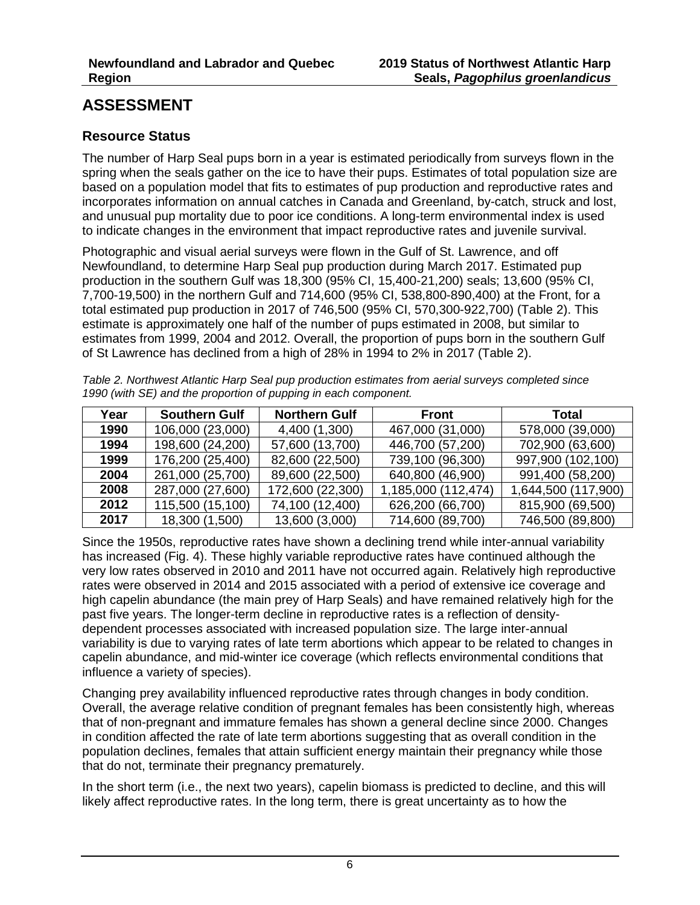## **ASSESSMENT**

### **Resource Status**

The number of Harp Seal pups born in a year is estimated periodically from surveys flown in the spring when the seals gather on the ice to have their pups. Estimates of total population size are based on a population model that fits to estimates of pup production and reproductive rates and incorporates information on annual catches in Canada and Greenland, by-catch, struck and lost, and unusual pup mortality due to poor ice conditions. A long-term environmental index is used to indicate changes in the environment that impact reproductive rates and juvenile survival.

Photographic and visual aerial surveys were flown in the Gulf of St. Lawrence, and off Newfoundland, to determine Harp Seal pup production during March 2017. Estimated pup production in the southern Gulf was 18,300 (95% CI, 15,400-21,200) seals; 13,600 (95% CI, 7,700-19,500) in the northern Gulf and 714,600 (95% CI, 538,800-890,400) at the Front, for a total estimated pup production in 2017 of 746,500 (95% CI, 570,300-922,700) (Table 2). This estimate is approximately one half of the number of pups estimated in 2008, but similar to estimates from 1999, 2004 and 2012. Overall, the proportion of pups born in the southern Gulf of St Lawrence has declined from a high of 28% in 1994 to 2% in 2017 (Table 2).

*Table 2. Northwest Atlantic Harp Seal pup production estimates from aerial surveys completed since 1990 (with SE) and the proportion of pupping in each component.* 

| Year | <b>Southern Gulf</b> | <b>Northern Gulf</b> | <b>Front</b>        | Total               |
|------|----------------------|----------------------|---------------------|---------------------|
| 1990 | 106,000 (23,000)     | 4,400 (1,300)        | 467,000 (31,000)    | 578,000 (39,000)    |
| 1994 | 198,600 (24,200)     | 57,600 (13,700)      | 446,700 (57,200)    | 702,900 (63,600)    |
| 1999 | 176,200 (25,400)     | 82,600 (22,500)      | 739,100 (96,300)    | 997,900 (102,100)   |
| 2004 | 261,000 (25,700)     | 89,600 (22,500)      | 640,800 (46,900)    | 991,400 (58,200)    |
| 2008 | 287,000 (27,600)     | 172,600 (22,300)     | 1,185,000 (112,474) | 1,644,500 (117,900) |
| 2012 | 115,500 (15,100)     | 74,100 (12,400)      | 626,200 (66,700)    | 815,900 (69,500)    |
| 2017 | 18,300 (1,500)       | 13,600 (3,000)       | 714,600 (89,700)    | 746,500 (89,800)    |

Since the 1950s, reproductive rates have shown a declining trend while inter-annual variability has increased (Fig. 4). These highly variable reproductive rates have continued although the very low rates observed in 2010 and 2011 have not occurred again. Relatively high reproductive rates were observed in 2014 and 2015 associated with a period of extensive ice coverage and high capelin abundance (the main prey of Harp Seals) and have remained relatively high for the past five years. The longer-term decline in reproductive rates is a reflection of densitydependent processes associated with increased population size. The large inter-annual variability is due to varying rates of late term abortions which appear to be related to changes in capelin abundance, and mid-winter ice coverage (which reflects environmental conditions that influence a variety of species).

Changing prey availability influenced reproductive rates through changes in body condition. Overall, the average relative condition of pregnant females has been consistently high, whereas that of non-pregnant and immature females has shown a general decline since 2000. Changes in condition affected the rate of late term abortions suggesting that as overall condition in the population declines, females that attain sufficient energy maintain their pregnancy while those that do not, terminate their pregnancy prematurely.

In the short term (i.e., the next two years), capelin biomass is predicted to decline, and this will likely affect reproductive rates. In the long term, there is great uncertainty as to how the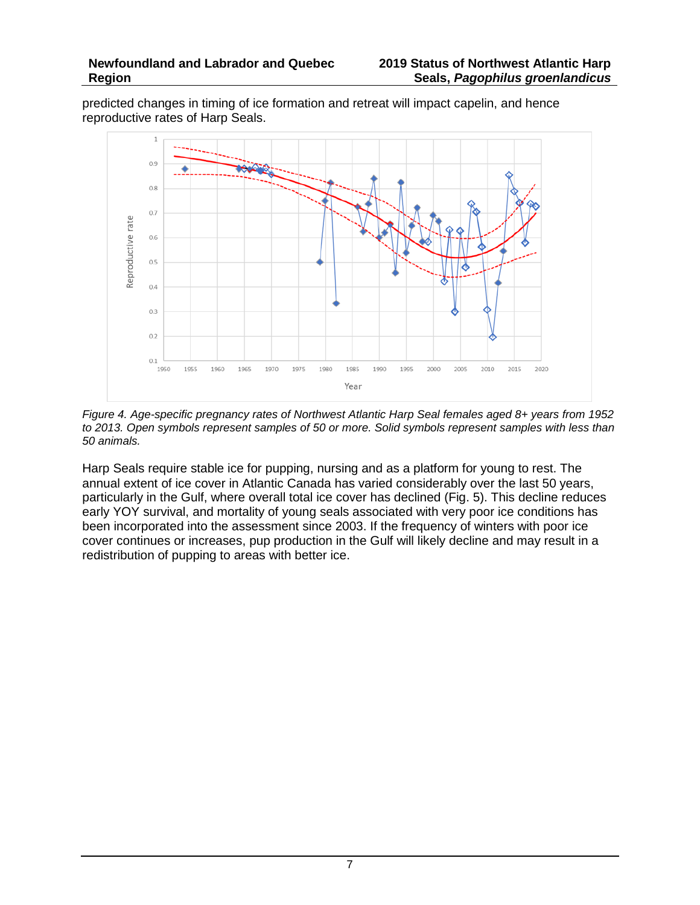predicted changes in timing of ice formation and retreat will impact capelin, and hence reproductive rates of Harp Seals.



*Figure 4. Age-specific pregnancy rates of Northwest Atlantic Harp Seal females aged 8+ years from 1952 to 2013. Open symbols represent samples of 50 or more. Solid symbols represent samples with less than 50 animals.*

Harp Seals require stable ice for pupping, nursing and as a platform for young to rest. The annual extent of ice cover in Atlantic Canada has varied considerably over the last 50 years, particularly in the Gulf, where overall total ice cover has declined (Fig. 5). This decline reduces early YOY survival, and mortality of young seals associated with very poor ice conditions has been incorporated into the assessment since 2003. If the frequency of winters with poor ice cover continues or increases, pup production in the Gulf will likely decline and may result in a redistribution of pupping to areas with better ice.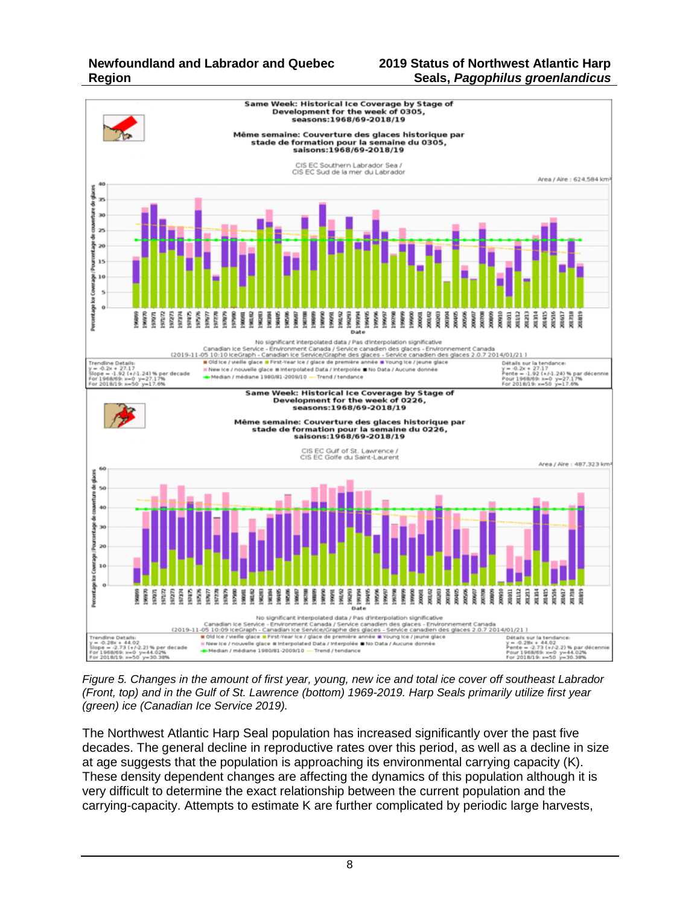#### **2019 Status of Northwest Atlantic Harp Seals,** *Pagophilus groenlandicus*



*Figure 5. Changes in the amount of first year, young, new ice and total ice cover off southeast Labrador (Front, top) and in the Gulf of St. Lawrence (bottom) 1969-2019. Harp Seals primarily utilize first year (green) ice (Canadian Ice Service 2019).*

The Northwest Atlantic Harp Seal population has increased significantly over the past five decades. The general decline in reproductive rates over this period, as well as a decline in size at age suggests that the population is approaching its environmental carrying capacity (K). These density dependent changes are affecting the dynamics of this population although it is very difficult to determine the exact relationship between the current population and the carrying-capacity. Attempts to estimate K are further complicated by periodic large harvests,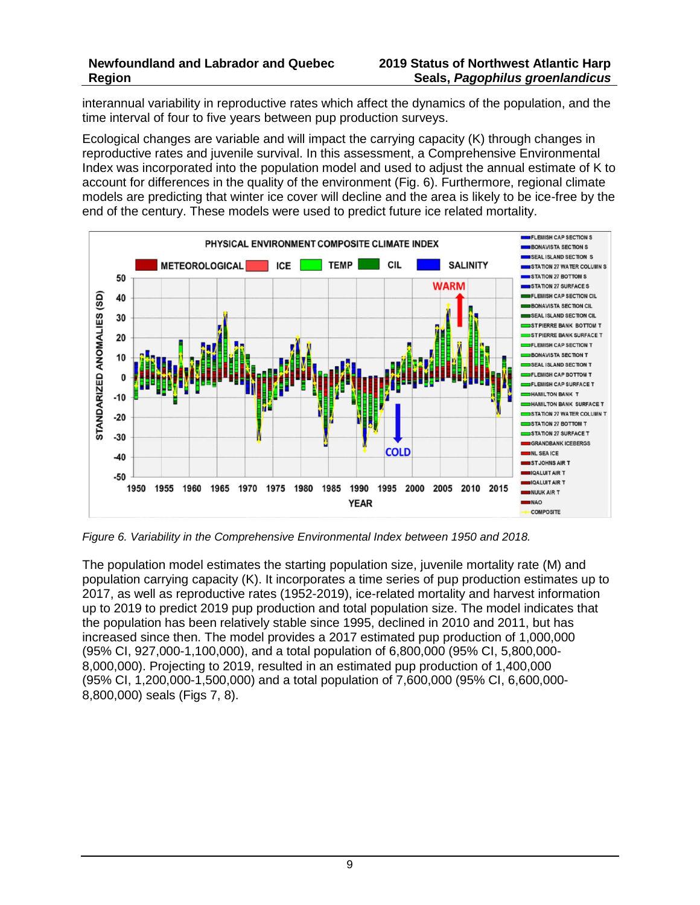interannual variability in reproductive rates which affect the dynamics of the population, and the time interval of four to five years between pup production surveys.

Ecological changes are variable and will impact the carrying capacity (K) through changes in reproductive rates and juvenile survival. In this assessment, a Comprehensive Environmental Index was incorporated into the population model and used to adjust the annual estimate of K to account for differences in the quality of the environment (Fig. 6). Furthermore, regional climate models are predicting that winter ice cover will decline and the area is likely to be ice-free by the end of the century. These models were used to predict future ice related mortality.



*Figure 6. Variability in the Comprehensive Environmental Index between 1950 and 2018.*

The population model estimates the starting population size, juvenile mortality rate (M) and population carrying capacity (K). It incorporates a time series of pup production estimates up to 2017, as well as reproductive rates (1952-2019), ice-related mortality and harvest information up to 2019 to predict 2019 pup production and total population size. The model indicates that the population has been relatively stable since 1995, declined in 2010 and 2011, but has increased since then. The model provides a 2017 estimated pup production of 1,000,000 (95% CI, 927,000-1,100,000), and a total population of 6,800,000 (95% CI, 5,800,000- 8,000,000). Projecting to 2019, resulted in an estimated pup production of 1,400,000 (95% CI, 1,200,000-1,500,000) and a total population of 7,600,000 (95% CI, 6,600,000- 8,800,000) seals (Figs 7, 8).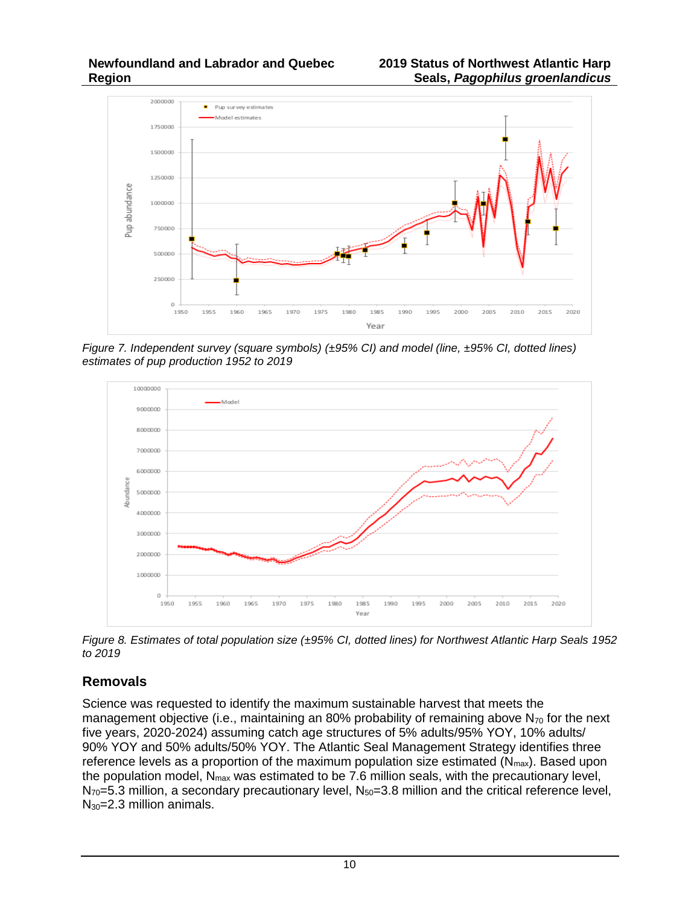

*Figure 7. Independent survey (square symbols) (±95% CI) and model (line, ±95% CI, dotted lines) estimates of pup production 1952 to 2019* 



*Figure 8. Estimates of total population size (±95% CI, dotted lines) for Northwest Atlantic Harp Seals 1952 to 2019* 

### **Removals**

Science was requested to identify the maximum sustainable harvest that meets the management objective (i.e., maintaining an 80% probability of remaining above  $N_{70}$  for the next five years, 2020-2024) assuming catch age structures of 5% adults/95% YOY, 10% adults/ 90% YOY and 50% adults/50% YOY. The Atlantic Seal Management Strategy identifies three reference levels as a proportion of the maximum population size estimated  $(N_{max})$ . Based upon the population model,  $N_{max}$  was estimated to be 7.6 million seals, with the precautionary level,  $N_{70}=5.3$  million, a secondary precautionary level,  $N_{50}=3.8$  million and the critical reference level, N<sub>30</sub>=2.3 million animals.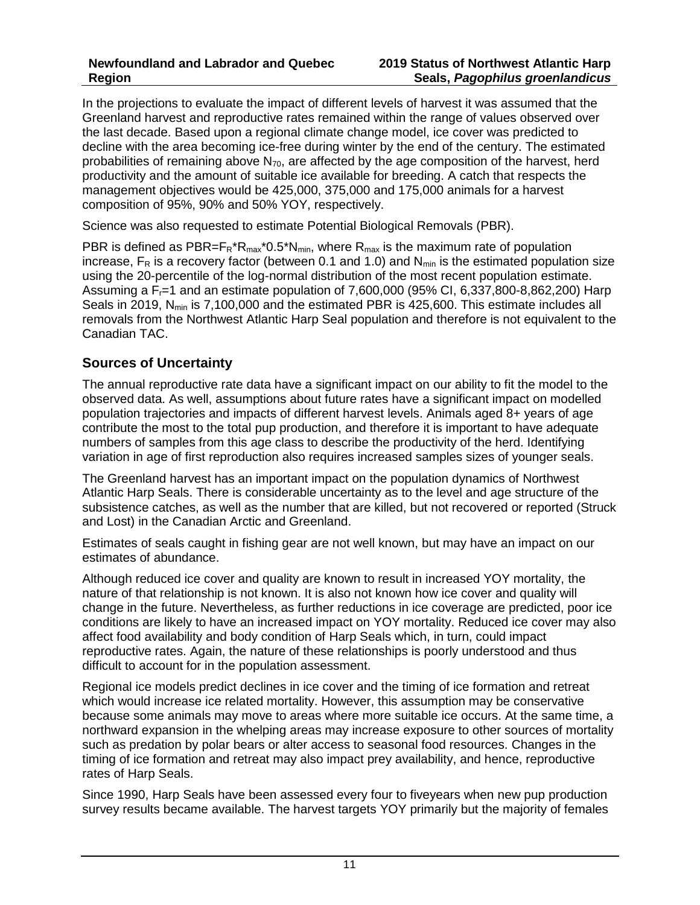In the projections to evaluate the impact of different levels of harvest it was assumed that the Greenland harvest and reproductive rates remained within the range of values observed over the last decade. Based upon a regional climate change model, ice cover was predicted to decline with the area becoming ice-free during winter by the end of the century. The estimated probabilities of remaining above  $N_{70}$ , are affected by the age composition of the harvest, herd productivity and the amount of suitable ice available for breeding. A catch that respects the management objectives would be 425,000, 375,000 and 175,000 animals for a harvest composition of 95%, 90% and 50% YOY, respectively.

Science was also requested to estimate Potential Biological Removals (PBR).

PBR is defined as  $PBR = F_R^*R_{max}^*0.5^*N_{min}$ , where  $R_{max}$  is the maximum rate of population increase,  $F_R$  is a recovery factor (between 0.1 and 1.0) and  $N_{min}$  is the estimated population size using the 20-percentile of the log-normal distribution of the most recent population estimate. Assuming a  $F<sub>1</sub>=1$  and an estimate population of 7,600,000 (95% CI, 6,337,800-8,862,200) Harp Seals in 2019,  $N_{min}$  is 7,100,000 and the estimated PBR is 425,600. This estimate includes all removals from the Northwest Atlantic Harp Seal population and therefore is not equivalent to the Canadian TAC.

### **Sources of Uncertainty**

The annual reproductive rate data have a significant impact on our ability to fit the model to the observed data. As well, assumptions about future rates have a significant impact on modelled population trajectories and impacts of different harvest levels. Animals aged 8+ years of age contribute the most to the total pup production, and therefore it is important to have adequate numbers of samples from this age class to describe the productivity of the herd. Identifying variation in age of first reproduction also requires increased samples sizes of younger seals.

The Greenland harvest has an important impact on the population dynamics of Northwest Atlantic Harp Seals. There is considerable uncertainty as to the level and age structure of the subsistence catches, as well as the number that are killed, but not recovered or reported (Struck and Lost) in the Canadian Arctic and Greenland.

Estimates of seals caught in fishing gear are not well known, but may have an impact on our estimates of abundance.

Although reduced ice cover and quality are known to result in increased YOY mortality, the nature of that relationship is not known. It is also not known how ice cover and quality will change in the future. Nevertheless, as further reductions in ice coverage are predicted, poor ice conditions are likely to have an increased impact on YOY mortality. Reduced ice cover may also affect food availability and body condition of Harp Seals which, in turn, could impact reproductive rates. Again, the nature of these relationships is poorly understood and thus difficult to account for in the population assessment.

Regional ice models predict declines in ice cover and the timing of ice formation and retreat which would increase ice related mortality. However, this assumption may be conservative because some animals may move to areas where more suitable ice occurs. At the same time, a northward expansion in the whelping areas may increase exposure to other sources of mortality such as predation by polar bears or alter access to seasonal food resources. Changes in the timing of ice formation and retreat may also impact prey availability, and hence, reproductive rates of Harp Seals.

Since 1990, Harp Seals have been assessed every four to fiveyears when new pup production survey results became available. The harvest targets YOY primarily but the majority of females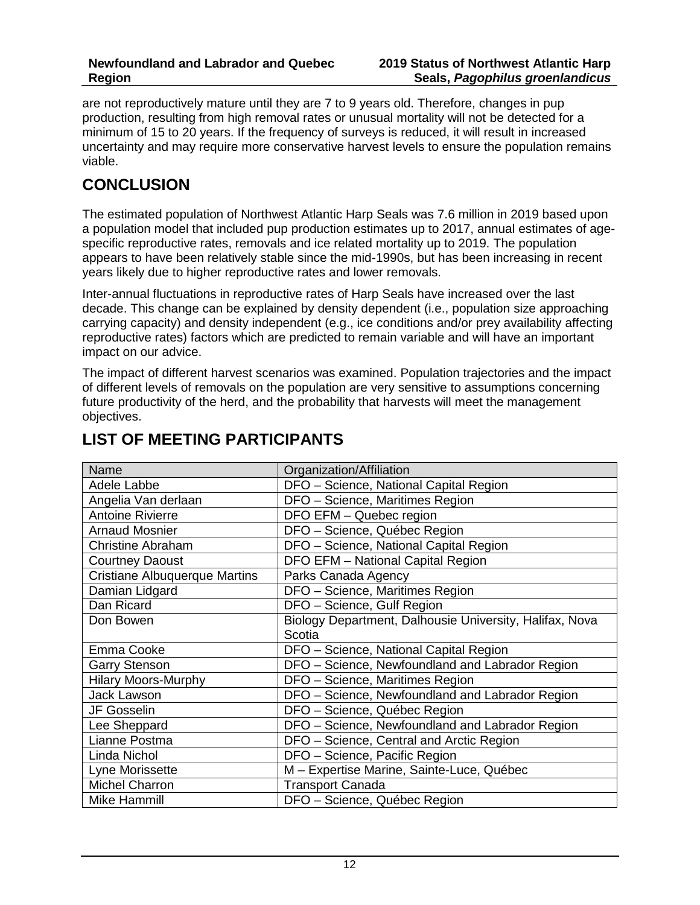are not reproductively mature until they are 7 to 9 years old. Therefore, changes in pup production, resulting from high removal rates or unusual mortality will not be detected for a minimum of 15 to 20 years. If the frequency of surveys is reduced, it will result in increased uncertainty and may require more conservative harvest levels to ensure the population remains viable.

## **CONCLUSION**

The estimated population of Northwest Atlantic Harp Seals was 7.6 million in 2019 based upon a population model that included pup production estimates up to 2017, annual estimates of agespecific reproductive rates, removals and ice related mortality up to 2019. The population appears to have been relatively stable since the mid-1990s, but has been increasing in recent years likely due to higher reproductive rates and lower removals.

Inter-annual fluctuations in reproductive rates of Harp Seals have increased over the last decade. This change can be explained by density dependent (i.e., population size approaching carrying capacity) and density independent (e.g., ice conditions and/or prey availability affecting reproductive rates) factors which are predicted to remain variable and will have an important impact on our advice.

The impact of different harvest scenarios was examined. Population trajectories and the impact of different levels of removals on the population are very sensitive to assumptions concerning future productivity of the herd, and the probability that harvests will meet the management objectives.

| Name                                 | Organization/Affiliation                                |  |  |
|--------------------------------------|---------------------------------------------------------|--|--|
| Adele Labbe                          | DFO - Science, National Capital Region                  |  |  |
| Angelia Van derlaan                  | DFO - Science, Maritimes Region                         |  |  |
| <b>Antoine Rivierre</b>              | DFO EFM - Quebec region                                 |  |  |
| <b>Arnaud Mosnier</b>                | DFO - Science, Québec Region                            |  |  |
| <b>Christine Abraham</b>             | DFO - Science, National Capital Region                  |  |  |
| <b>Courtney Daoust</b>               | DFO EFM - National Capital Region                       |  |  |
| <b>Cristiane Albuquerque Martins</b> | Parks Canada Agency                                     |  |  |
| Damian Lidgard                       | DFO - Science, Maritimes Region                         |  |  |
| Dan Ricard                           | DFO - Science, Gulf Region                              |  |  |
| Don Bowen                            | Biology Department, Dalhousie University, Halifax, Nova |  |  |
|                                      | Scotia                                                  |  |  |
| Emma Cooke                           | DFO - Science, National Capital Region                  |  |  |
| <b>Garry Stenson</b>                 | DFO - Science, Newfoundland and Labrador Region         |  |  |
| <b>Hilary Moors-Murphy</b>           | DFO - Science, Maritimes Region                         |  |  |
| <b>Jack Lawson</b>                   | DFO - Science, Newfoundland and Labrador Region         |  |  |
| JF Gosselin                          | DFO - Science, Québec Region                            |  |  |
| Lee Sheppard                         | DFO - Science, Newfoundland and Labrador Region         |  |  |
| Lianne Postma                        | DFO - Science, Central and Arctic Region                |  |  |
| Linda Nichol                         | DFO - Science, Pacific Region                           |  |  |
| Lyne Morissette                      | M - Expertise Marine, Sainte-Luce, Québec               |  |  |
| <b>Michel Charron</b>                | <b>Transport Canada</b>                                 |  |  |
| Mike Hammill                         | DFO - Science, Québec Region                            |  |  |

# **LIST OF MEETING PARTICIPANTS**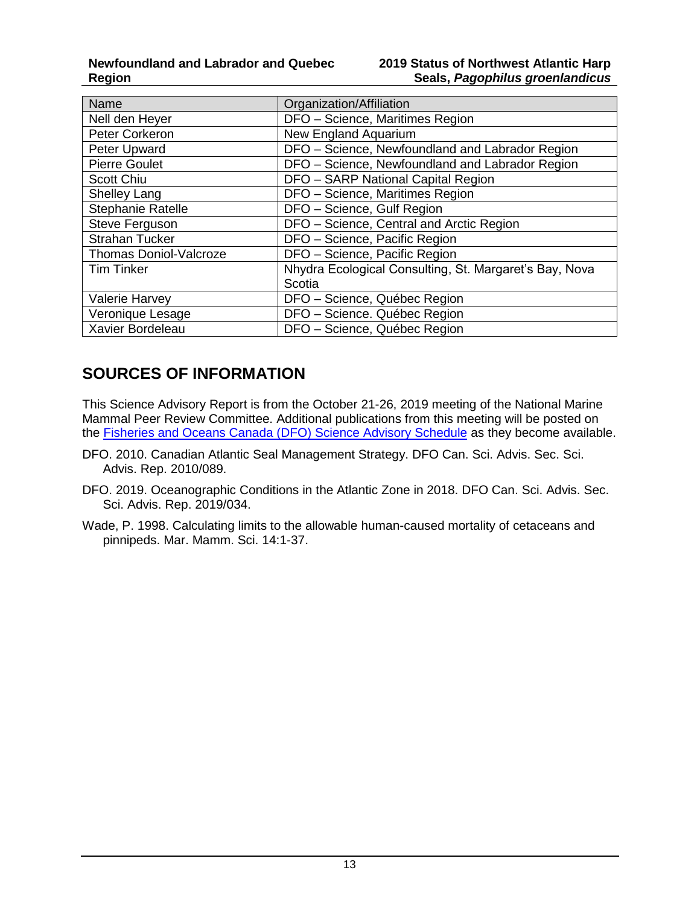| Name                          | Organization/Affiliation                               |  |  |
|-------------------------------|--------------------------------------------------------|--|--|
| Nell den Heyer                | DFO - Science, Maritimes Region                        |  |  |
| Peter Corkeron                | New England Aquarium                                   |  |  |
| Peter Upward                  | DFO - Science, Newfoundland and Labrador Region        |  |  |
| <b>Pierre Goulet</b>          | DFO - Science, Newfoundland and Labrador Region        |  |  |
| <b>Scott Chiu</b>             | DFO - SARP National Capital Region                     |  |  |
| <b>Shelley Lang</b>           | DFO - Science, Maritimes Region                        |  |  |
| <b>Stephanie Ratelle</b>      | DFO - Science, Gulf Region                             |  |  |
| Steve Ferguson                | DFO - Science, Central and Arctic Region               |  |  |
| <b>Strahan Tucker</b>         | DFO - Science, Pacific Region                          |  |  |
| <b>Thomas Doniol-Valcroze</b> | DFO - Science, Pacific Region                          |  |  |
| <b>Tim Tinker</b>             | Nhydra Ecological Consulting, St. Margaret's Bay, Nova |  |  |
|                               | Scotia                                                 |  |  |
| <b>Valerie Harvey</b>         | DFO - Science, Québec Region                           |  |  |
| Veronique Lesage              | DFO - Science. Québec Region                           |  |  |
| Xavier Bordeleau              | DFO - Science, Québec Region                           |  |  |

## **SOURCES OF INFORMATION**

This Science Advisory Report is from the October 21-26, 2019 meeting of the National Marine Mammal Peer Review Committee. Additional publications from this meeting will be posted on the [Fisheries and Oceans Canada \(DFO\) Science Advisory Schedule](http://www.isdm-gdsi.gc.ca/csas-sccs/applications/events-evenements/index-eng.asp) as they become available.

- DFO. 2010. Canadian Atlantic Seal Management Strategy. DFO Can. Sci. Advis. Sec. Sci. Advis. Rep. 2010/089.
- DFO. 2019. Oceanographic Conditions in the Atlantic Zone in 2018. DFO Can. Sci. Advis. Sec. Sci. Advis. Rep. 2019/034.
- Wade, P. 1998. Calculating limits to the allowable human-caused mortality of cetaceans and pinnipeds. Mar. Mamm. Sci. 14:1-37.